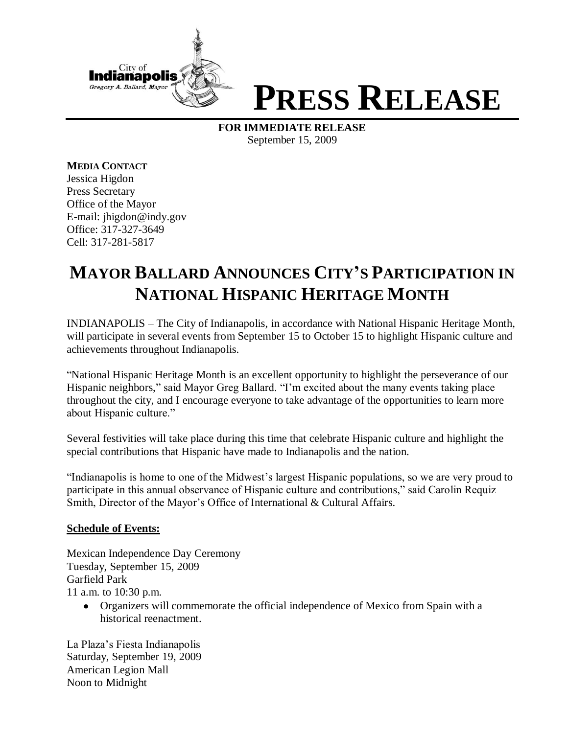

## **PRESS RELEASE**

**FOR IMMEDIATE RELEASE** September 15, 2009

**MEDIA CONTACT** Jessica Higdon Press Secretary Office of the Mayor E-mail: jhigdon@indy.gov Office: 317-327-3649 Cell: 317-281-5817

## **MAYOR BALLARD ANNOUNCES CITY'S PARTICIPATION IN NATIONAL HISPANIC HERITAGE MONTH**

INDIANAPOLIS – The City of Indianapolis, in accordance with National Hispanic Heritage Month, will participate in several events from September 15 to October 15 to highlight Hispanic culture and achievements throughout Indianapolis.

"National Hispanic Heritage Month is an excellent opportunity to highlight the perseverance of our Hispanic neighbors," said Mayor Greg Ballard. "I'm excited about the many events taking place throughout the city, and I encourage everyone to take advantage of the opportunities to learn more about Hispanic culture."

Several festivities will take place during this time that celebrate Hispanic culture and highlight the special contributions that Hispanic have made to Indianapolis and the nation.

"Indianapolis is home to one of the Midwest's largest Hispanic populations, so we are very proud to participate in this annual observance of Hispanic culture and contributions," said Carolin Requiz Smith, Director of the Mayor's Office of International & Cultural Affairs.

## **Schedule of Events:**

Mexican Independence Day Ceremony Tuesday, September 15, 2009 Garfield Park 11 a.m. to 10:30 p.m.

Organizers will commemorate the official independence of Mexico from Spain with a historical reenactment.

La Plaza's Fiesta Indianapolis Saturday, September 19, 2009 American Legion Mall Noon to Midnight